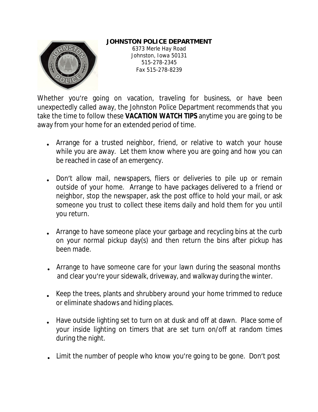## **JOHNSTON POLICE DEPARTMENT**



6373 Merle Hay Road Johnston, Iowa 50131 515-278-2345 Fax 515-278-8239

Whether you're going on vacation, traveling for business, or have been unexpectedly called away, the Johnston Police Department recommends that you take the time to follow these **VACATION WATCH TIPS** anytime you are going to be away from your home for an extended period of time.

- Arrange for a trusted neighbor, friend, or relative to watch your house while you are away. Let them know where you are going and how you can be reached in case of an emergency.
- Don't allow mail, newspapers, fliers or deliveries to pile up or remain outside of your home. Arrange to have packages delivered to a friend or neighbor, stop the newspaper, ask the post office to hold your mail, or ask someone you trust to collect these items daily and hold them for you until you return.
- Arrange to have someone place your garbage and recycling bins at the curb on your normal pickup day(s) and then return the bins after pickup has been made.
- Arrange to have someone care for your lawn during the seasonal months and clear you're your sidewalk, driveway, and walkway during the winter.
- Keep the trees, plants and shrubbery around your home trimmed to reduce or eliminate shadows and hiding places.
- Have outside lighting set to turn on at dusk and off at dawn. Place some of your inside lighting on timers that are set turn on/off at random times during the night.
- Limit the number of people who know you're going to be gone. Don't post